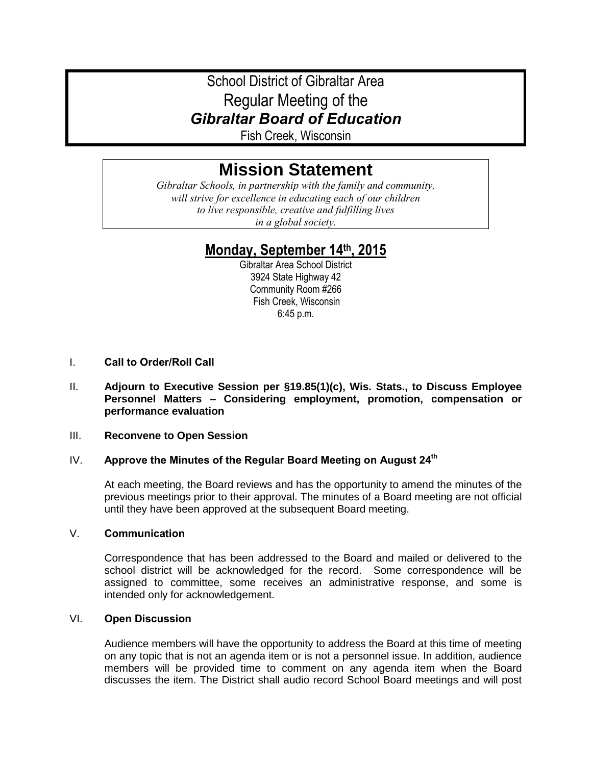# School District of Gibraltar Area Regular Meeting of the *Gibraltar Board of Education*

Fish Creek, Wisconsin

# **Mission Statement**

*Gibraltar Schools, in partnership with the family and community, will strive for excellence in educating each of our children to live responsible, creative and fulfilling lives in a global society.*

# **Monday, September 14 th, 2015**

Gibraltar Area School District 3924 State Highway 42 Community Room #266 Fish Creek, Wisconsin 6:45 p.m.

- I. **Call to Order/Roll Call**
- II. **Adjourn to Executive Session per §19.85(1)(c), Wis. Stats., to Discuss Employee Personnel Matters – Considering employment, promotion, compensation or performance evaluation**

#### III. **Reconvene to Open Session**

#### IV. **Approve the Minutes of the Regular Board Meeting on August 24th**

At each meeting, the Board reviews and has the opportunity to amend the minutes of the previous meetings prior to their approval. The minutes of a Board meeting are not official until they have been approved at the subsequent Board meeting.

#### V. **Communication**

Correspondence that has been addressed to the Board and mailed or delivered to the school district will be acknowledged for the record. Some correspondence will be assigned to committee, some receives an administrative response, and some is intended only for acknowledgement.

#### VI. **Open Discussion**

Audience members will have the opportunity to address the Board at this time of meeting on any topic that is not an agenda item or is not a personnel issue. In addition, audience members will be provided time to comment on any agenda item when the Board discusses the item. The District shall audio record School Board meetings and will post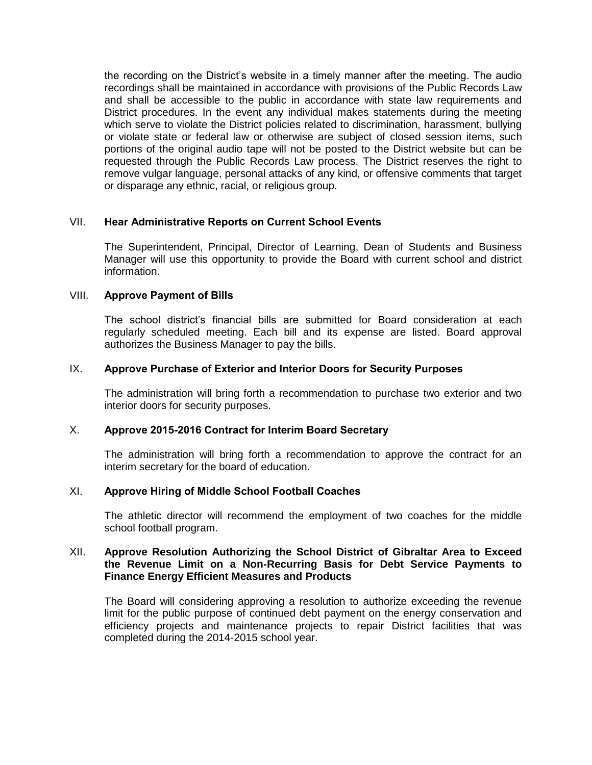the recording on the District's website in a timely manner after the meeting. The audio recordings shall be maintained in accordance with provisions of the Public Records Law and shall be accessible to the public in accordance with state law requirements and District procedures. In the event any individual makes statements during the meeting which serve to violate the District policies related to discrimination, harassment, bullying or violate state or federal law or otherwise are subject of closed session items, such portions of the original audio tape will not be posted to the District website but can be requested through the Public Records Law process. The District reserves the right to remove vulgar language, personal attacks of any kind, or offensive comments that target or disparage any ethnic, racial, or religious group.

#### VII. **Hear Administrative Reports on Current School Events**

The Superintendent, Principal, Director of Learning, Dean of Students and Business Manager will use this opportunity to provide the Board with current school and district information.

#### VIII. **Approve Payment of Bills**

The school district's financial bills are submitted for Board consideration at each regularly scheduled meeting. Each bill and its expense are listed. Board approval authorizes the Business Manager to pay the bills.

#### IX. **Approve Purchase of Exterior and Interior Doors for Security Purposes**

The administration will bring forth a recommendation to purchase two exterior and two interior doors for security purposes.

## X. **Approve 2015-2016 Contract for Interim Board Secretary**

The administration will bring forth a recommendation to approve the contract for an interim secretary for the board of education.

#### XI. **Approve Hiring of Middle School Football Coaches**

The athletic director will recommend the employment of two coaches for the middle school football program.

#### XII. **Approve Resolution Authorizing the School District of Gibraltar Area to Exceed the Revenue Limit on a Non-Recurring Basis for Debt Service Payments to Finance Energy Efficient Measures and Products**

The Board will considering approving a resolution to authorize exceeding the revenue limit for the public purpose of continued debt payment on the energy conservation and efficiency projects and maintenance projects to repair District facilities that was completed during the 2014-2015 school year.